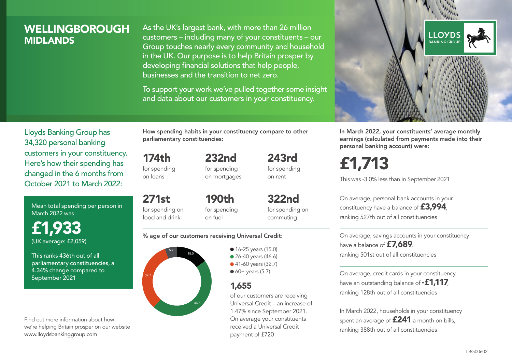### **WELLINGBOROUGH MIDI ANDS**

As the UK's largest bank, with more than 26 million customers – including many of your constituents – our Group touches nearly every community and household in the UK. Our purpose is to help Britain prosper by developing financial solutions that help people, businesses and the transition to net zero.

To support your work we've pulled together some insight and data about our customers in your constituency.



In March 2022, your constituents' average monthly earnings (calculated from payments made into their personal banking account) were:

# £1,713

This was -3.0% less than in September 2021

On average, personal bank accounts in your constituency have a balance of £3,994, ranking 527th out of all constituencies

On average, savings accounts in your constituency have a balance of **£7,689** ranking 501st out of all constituencies

On average, credit cards in your constituency have an outstanding balance of **-£1,117** ranking 128th out of all constituencies

In March 2022, households in your constituency spent an average of **£241** a month on bills, ranking 388th out of all constituencies

Lloyds Banking Group has 34,320 personal banking customers in your constituency. Here's how their spending has changed in the 6 months from October 2021 to March 2022:

Mean total spending per person in March 2022 was

£1,933 (UK average: £2,059)

This ranks 436th out of all parliamentary constituencies, a 4.34% change compared to September 2021

Find out more information about how we're helping Britain prosper on our website www.lloydsbankinggroup.com

How spending habits in your constituency compare to other parliamentary constituencies:

174th for spending 232nd

on loans

271st

for spending on mortgages 243rd for spending on rent

for spending on food and drink 190th for spending on fuel

322nd for spending on commuting

#### % age of our customers receiving Universal Credit:



**16-25 years (15.0)** • 26-40 years (46.6) ● 41-60 years (32.7)  $60+$  years (5.7)

### 1,655

of our customers are receiving Universal Credit – an increase of 1.47% since September 2021. On average your constituents received a Universal Credit payment of £720